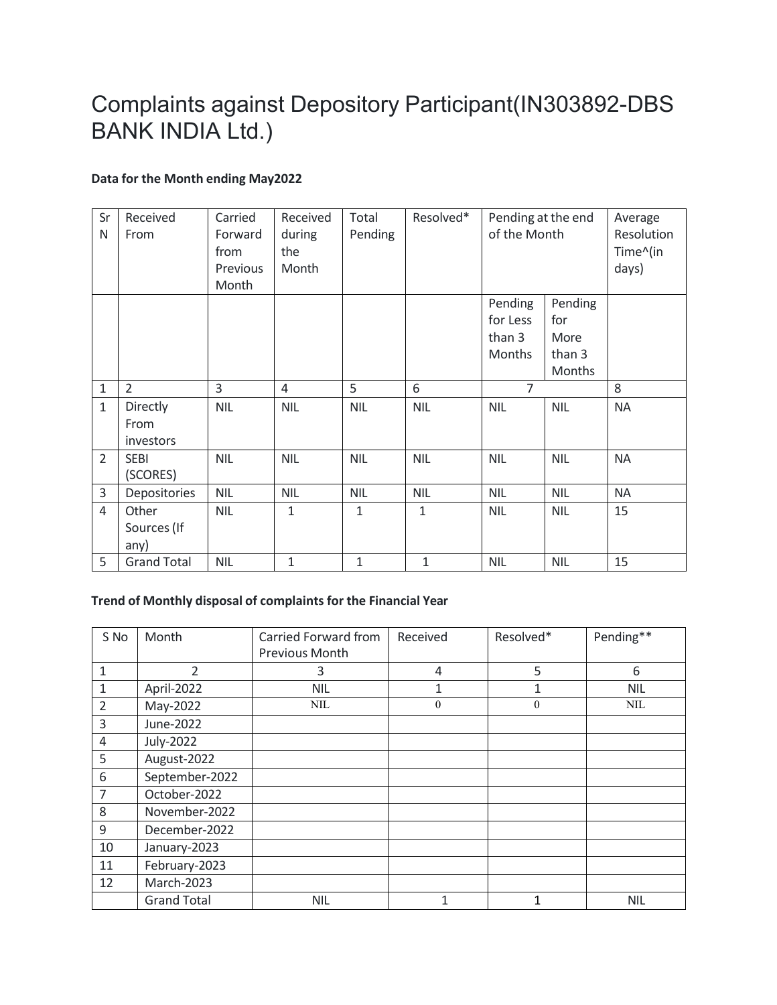## Complaints against Depository Participant(IN303892-DBS BANK INDIA Ltd.)

## **Data for the Month ending May2022**

| Sr<br>N        | Received<br>From              | Carried<br>Forward<br>from<br>Previous<br>Month | Received<br>during<br>the<br>Month | Total<br>Pending | Resolved*    | Pending at the end<br>of the Month             |                                                   | Average<br>Resolution<br>Time^(in<br>days) |
|----------------|-------------------------------|-------------------------------------------------|------------------------------------|------------------|--------------|------------------------------------------------|---------------------------------------------------|--------------------------------------------|
|                |                               |                                                 |                                    |                  |              | Pending<br>for Less<br>than 3<br><b>Months</b> | Pending<br>for<br>More<br>than 3<br><b>Months</b> |                                            |
| $1\,$          | 2                             | 3                                               | $\overline{4}$                     | 5                | 6            | $\overline{7}$                                 |                                                   | 8                                          |
| $\mathbf{1}$   | Directly<br>From<br>investors | <b>NIL</b>                                      | <b>NIL</b>                         | <b>NIL</b>       | <b>NIL</b>   | <b>NIL</b>                                     | <b>NIL</b>                                        | <b>NA</b>                                  |
| $\overline{2}$ | <b>SEBI</b><br>(SCORES)       | <b>NIL</b>                                      | <b>NIL</b>                         | <b>NIL</b>       | <b>NIL</b>   | <b>NIL</b>                                     | <b>NIL</b>                                        | <b>NA</b>                                  |
| 3              | Depositories                  | <b>NIL</b>                                      | <b>NIL</b>                         | <b>NIL</b>       | <b>NIL</b>   | <b>NIL</b>                                     | <b>NIL</b>                                        | <b>NA</b>                                  |
| $\overline{4}$ | Other<br>Sources (If<br>any)  | <b>NIL</b>                                      | $\mathbf{1}$                       | $\mathbf{1}$     | $\mathbf{1}$ | <b>NIL</b>                                     | <b>NIL</b>                                        | 15                                         |
| 5              | <b>Grand Total</b>            | <b>NIL</b>                                      | $\mathbf{1}$                       | $\mathbf{1}$     | $\mathbf{1}$ | <b>NIL</b>                                     | <b>NIL</b>                                        | 15                                         |

## **Trend of Monthly disposal of complaints for the Financial Year**

| S No           | Month              | Carried Forward from<br>Previous Month | Received | Resolved*    | Pending**  |
|----------------|--------------------|----------------------------------------|----------|--------------|------------|
|                |                    |                                        |          |              |            |
| $\mathbf{1}$   | 2                  | 3                                      | 4        | 5            | 6          |
| 1              | April-2022         | <b>NIL</b>                             | 1        | 1            | <b>NIL</b> |
| $\overline{2}$ | May-2022           | <b>NIL</b>                             | $\theta$ | $\mathbf{0}$ | <b>NIL</b> |
| 3              | June-2022          |                                        |          |              |            |
| 4              | <b>July-2022</b>   |                                        |          |              |            |
| 5              | August-2022        |                                        |          |              |            |
| 6              | September-2022     |                                        |          |              |            |
| $\overline{7}$ | October-2022       |                                        |          |              |            |
| 8              | November-2022      |                                        |          |              |            |
| 9              | December-2022      |                                        |          |              |            |
| 10             | January-2023       |                                        |          |              |            |
| 11             | February-2023      |                                        |          |              |            |
| 12             | March-2023         |                                        |          |              |            |
|                | <b>Grand Total</b> | <b>NIL</b>                             | 1        | 1            | <b>NIL</b> |